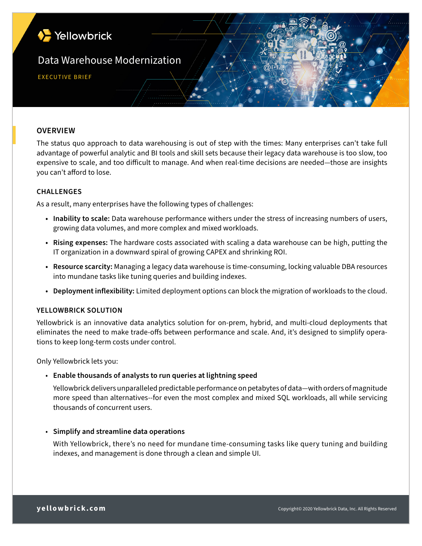

# **OVERVIEW**

The status quo approach to data warehousing is out of step with the times: Many enterprises can't take full advantage of powerful analytic and BI tools and skill sets because their legacy data warehouse is too slow, too expensive to scale, and too difficult to manage. And when real-time decisions are needed—those are insights you can't afford to lose.

## **CHALLENGES**

As a result, many enterprises have the following types of challenges:

- **• Inability to scale:** Data warehouse performance withers under the stress of increasing numbers of users, growing data volumes, and more complex and mixed workloads.
- **• Rising expenses:** The hardware costs associated with scaling a data warehouse can be high, putting the IT organization in a downward spiral of growing CAPEX and shrinking ROI.
- **• Resource scarcity:** Managing a legacy data warehouse is time-consuming, locking valuable DBA resources into mundane tasks like tuning queries and building indexes.
- **• Deployment inflexibility:** Limited deployment options can block the migration of workloads to the cloud.

#### **YELLOWBRICK SOLUTION**

Yellowbrick is an innovative data analytics solution for on-prem, hybrid, and multi-cloud deployments that eliminates the need to make trade-offs between performance and scale. And, it's designed to simplify operations to keep long-term costs under control.

Only Yellowbrick lets you:

## • **Enable thousands of analysts to run queries at lightning speed**

Yellowbrick delivers unparalleled predictable performance on petabytes of data—with orders of magnitude more speed than alternatives--for even the most complex and mixed SQL workloads, all while servicing thousands of concurrent users.

#### • **Simplify and streamline data operations**

 With Yellowbrick, there's no need for mundane time-consuming tasks like query tuning and building indexes, and management is done through a clean and simple UI.